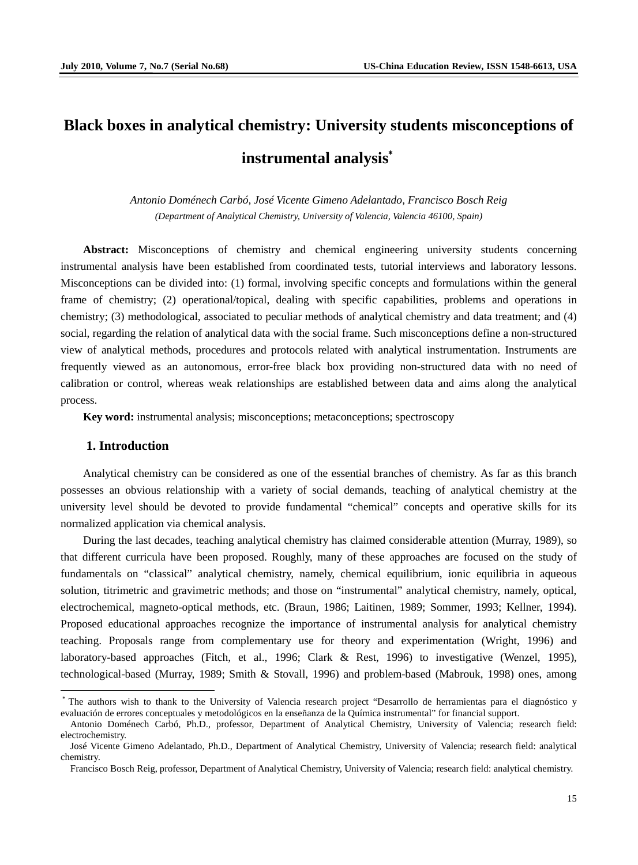# **Black boxes in analytical chemistry: University students misconceptions of instrumental analysis**\*

*Antonio Doménech Carbó, José Vicente Gimeno Adelantado, Francisco Bosch Reig (Department of Analytical Chemistry, University of Valencia, Valencia 46100, Spain)*

**Abstract:** Misconceptions of chemistry and chemical engineering university students concerning instrumental analysis have been established from coordinated tests, tutorial interviews and laboratory lessons. Misconceptions can be divided into: (1) formal, involving specific concepts and formulations within the general frame of chemistry; (2) operational/topical, dealing with specific capabilities, problems and operations in chemistry; (3) methodological, associated to peculiar methods of analytical chemistry and data treatment; and (4) social, regarding the relation of analytical data with the social frame. Such misconceptions define a non-structured view of analytical methods, procedures and protocols related with analytical instrumentation. Instruments are frequently viewed as an autonomous, error-free black box providing non-structured data with no need of calibration or control, whereas weak relationships are established between data and aims along the analytical process.

**Key word:** instrumental analysis; misconceptions; metaconceptions; spectroscopy

#### **1. Introduction**

Analytical chemistry can be considered as one of the essential branches of chemistry. As far as this branch possesses an obvious relationship with a variety of social demands, teaching of analytical chemistry at the university level should be devoted to provide fundamental "chemical" concepts and operative skills for its normalized application via chemical analysis.

During the last decades, teaching analytical chemistry has claimed considerable attention (Murray, 1989), so that different curricula have been proposed. Roughly, many of these approaches are focused on the study of fundamentals on "classical" analytical chemistry, namely, chemical equilibrium, ionic equilibria in aqueous solution, titrimetric and gravimetric methods; and those on "instrumental" analytical chemistry, namely, optical, electrochemical, magneto-optical methods, etc. (Braun, 1986; Laitinen, 1989; Sommer, 1993; Kellner, 1994). Proposed educational approaches recognize the importance of instrumental analysis for analytical chemistry teaching. Proposals range from complementary use for theory and experimentation (Wright, 1996) and laboratory-based approaches (Fitch, et al., 1996; Clark & Rest, 1996) to investigative (Wenzel, 1995), technological-based (Murray, 1989; Smith & Stovall, 1996) and problem-based (Mabrouk, 1998) ones, among

<span id="page-0-0"></span> <sup>\*</sup> The authors wish to thank to the University of Valencia research project "Desarrollo de herramientas para el diagnóstico y evaluación de errores conceptuales y metodológicos en la enseñanza de la Química instrumental" for financial support.

Antonio Doménech Carbó, Ph.D., professor, Department of Analytical Chemistry, University of Valencia; research field: electrochemistry.

José Vicente Gimeno Adelantado, Ph.D., Department of Analytical Chemistry, University of Valencia; research field: analytical chemistry.

Francisco Bosch Reig, professor, Department of Analytical Chemistry, University of Valencia; research field: analytical chemistry.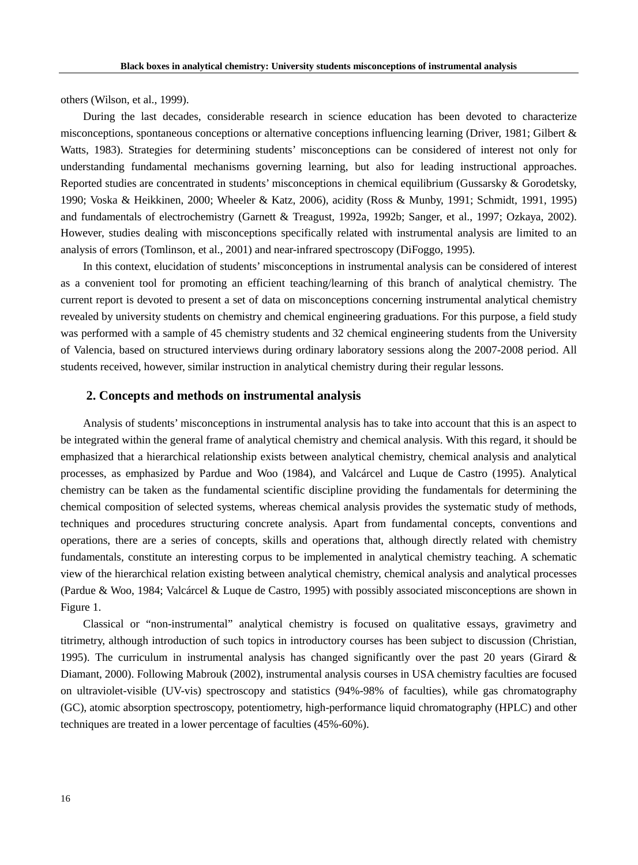others (Wilson, et al., 1999).

During the last decades, considerable research in science education has been devoted to characterize misconceptions, spontaneous conceptions or alternative conceptions influencing learning (Driver, 1981; Gilbert & Watts, 1983). Strategies for determining students' misconceptions can be considered of interest not only for understanding fundamental mechanisms governing learning, but also for leading instructional approaches. Reported studies are concentrated in students' misconceptions in chemical equilibrium (Gussarsky & Gorodetsky, 1990; Voska & Heikkinen, 2000; Wheeler & Katz, 2006), acidity (Ross & Munby, 1991; Schmidt, 1991, 1995) and fundamentals of electrochemistry (Garnett & Treagust, 1992a, 1992b; Sanger, et al., 1997; Ozkaya, 2002). However, studies dealing with misconceptions specifically related with instrumental analysis are limited to an analysis of errors (Tomlinson, et al., 2001) and near-infrared spectroscopy (DiFoggo, 1995).

In this context, elucidation of students' misconceptions in instrumental analysis can be considered of interest as a convenient tool for promoting an efficient teaching/learning of this branch of analytical chemistry. The current report is devoted to present a set of data on misconceptions concerning instrumental analytical chemistry revealed by university students on chemistry and chemical engineering graduations. For this purpose, a field study was performed with a sample of 45 chemistry students and 32 chemical engineering students from the University of Valencia, based on structured interviews during ordinary laboratory sessions along the 2007-2008 period. All students received, however, similar instruction in analytical chemistry during their regular lessons.

# **2. Concepts and methods on instrumental analysis**

Analysis of students' misconceptions in instrumental analysis has to take into account that this is an aspect to be integrated within the general frame of analytical chemistry and chemical analysis. With this regard, it should be emphasized that a hierarchical relationship exists between analytical chemistry, chemical analysis and analytical processes, as emphasized by Pardue and Woo (1984), and Valcárcel and Luque de Castro (1995). Analytical chemistry can be taken as the fundamental scientific discipline providing the fundamentals for determining the chemical composition of selected systems, whereas chemical analysis provides the systematic study of methods, techniques and procedures structuring concrete analysis. Apart from fundamental concepts, conventions and operations, there are a series of concepts, skills and operations that, although directly related with chemistry fundamentals, constitute an interesting corpus to be implemented in analytical chemistry teaching. A schematic view of the hierarchical relation existing between analytical chemistry, chemical analysis and analytical processes (Pardue & Woo, 1984; Valcárcel & Luque de Castro, 1995) with possibly associated misconceptions are shown in Figure 1.

Classical or "non-instrumental" analytical chemistry is focused on qualitative essays, gravimetry and titrimetry, although introduction of such topics in introductory courses has been subject to discussion (Christian, 1995). The curriculum in instrumental analysis has changed significantly over the past 20 years (Girard & Diamant, 2000). Following Mabrouk (2002), instrumental analysis courses in USA chemistry faculties are focused on ultraviolet-visible (UV-vis) spectroscopy and statistics (94%-98% of faculties), while gas chromatography (GC), atomic absorption spectroscopy, potentiometry, high-performance liquid chromatography (HPLC) and other techniques are treated in a lower percentage of faculties (45%-60%).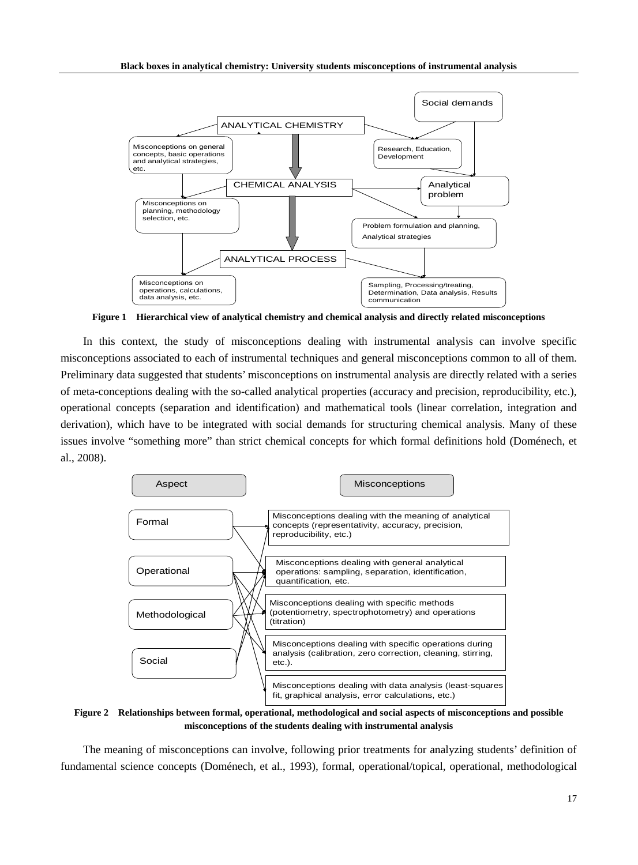

**Figure 1 Hierarchical view of analytical chemistry and chemical analysis and directly related misconceptions**

In this context, the study of misconceptions dealing with instrumental analysis can involve specific misconceptions associated to each of instrumental techniques and general misconceptions common to all of them. Preliminary data suggested that students' misconceptions on instrumental analysis are directly related with a series of meta-conceptions dealing with the so-called analytical properties (accuracy and precision, reproducibility, etc.), operational concepts (separation and identification) and mathematical tools (linear correlation, integration and derivation), which have to be integrated with social demands for structuring chemical analysis. Many of these issues involve "something more" than strict chemical concepts for which formal definitions hold (Doménech, et al., 2008).



**Figure 2 Relationships between formal, operational, methodological and social aspects of misconceptions and possible misconceptions of the students dealing with instrumental analysis**

The meaning of misconceptions can involve, following prior treatments for analyzing students' definition of fundamental science concepts (Doménech, et al., 1993), formal, operational/topical, operational, methodological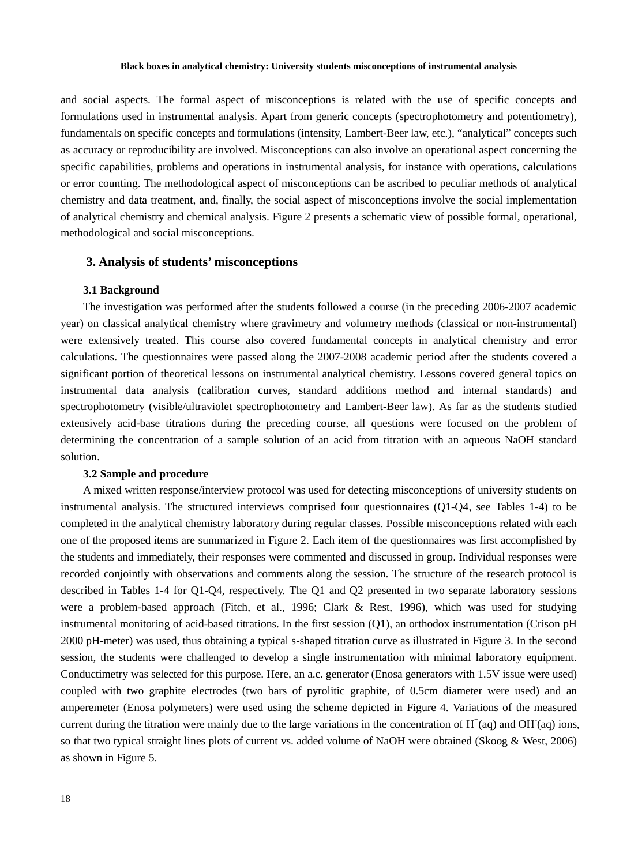and social aspects. The formal aspect of misconceptions is related with the use of specific concepts and formulations used in instrumental analysis. Apart from generic concepts (spectrophotometry and potentiometry), fundamentals on specific concepts and formulations (intensity, Lambert-Beer law, etc.), "analytical" concepts such as accuracy or reproducibility are involved. Misconceptions can also involve an operational aspect concerning the specific capabilities, problems and operations in instrumental analysis, for instance with operations, calculations or error counting. The methodological aspect of misconceptions can be ascribed to peculiar methods of analytical chemistry and data treatment, and, finally, the social aspect of misconceptions involve the social implementation of analytical chemistry and chemical analysis. Figure 2 presents a schematic view of possible formal, operational, methodological and social misconceptions.

#### **3. Analysis of students' misconceptions**

#### **3.1 Background**

The investigation was performed after the students followed a course (in the preceding 2006-2007 academic year) on classical analytical chemistry where gravimetry and volumetry methods (classical or non-instrumental) were extensively treated. This course also covered fundamental concepts in analytical chemistry and error calculations. The questionnaires were passed along the 2007-2008 academic period after the students covered a significant portion of theoretical lessons on instrumental analytical chemistry. Lessons covered general topics on instrumental data analysis (calibration curves, standard additions method and internal standards) and spectrophotometry (visible/ultraviolet spectrophotometry and Lambert-Beer law). As far as the students studied extensively acid-base titrations during the preceding course, all questions were focused on the problem of determining the concentration of a sample solution of an acid from titration with an aqueous NaOH standard solution.

#### **3.2 Sample and procedure**

A mixed written response/interview protocol was used for detecting misconceptions of university students on instrumental analysis. The structured interviews comprised four questionnaires (Q1-Q4, see Tables 1-4) to be completed in the analytical chemistry laboratory during regular classes. Possible misconceptions related with each one of the proposed items are summarized in Figure 2. Each item of the questionnaires was first accomplished by the students and immediately, their responses were commented and discussed in group. Individual responses were recorded conjointly with observations and comments along the session. The structure of the research protocol is described in Tables 1-4 for Q1-Q4, respectively. The Q1 and Q2 presented in two separate laboratory sessions were a problem-based approach (Fitch, et al., 1996; Clark & Rest, 1996), which was used for studying instrumental monitoring of acid-based titrations. In the first session (Q1), an orthodox instrumentation (Crison pH 2000 pH-meter) was used, thus obtaining a typical s-shaped titration curve as illustrated in Figure 3. In the second session, the students were challenged to develop a single instrumentation with minimal laboratory equipment. Conductimetry was selected for this purpose. Here, an a.c. generator (Enosa generators with 1.5V issue were used) coupled with two graphite electrodes (two bars of pyrolitic graphite, of 0.5cm diameter were used) and an amperemeter (Enosa polymeters) were used using the scheme depicted in Figure 4. Variations of the measured current during the titration were mainly due to the large variations in the concentration of  $H^+(aq)$  and OH (aq) ions, so that two typical straight lines plots of current vs. added volume of NaOH were obtained (Skoog & West, 2006) as shown in Figure 5.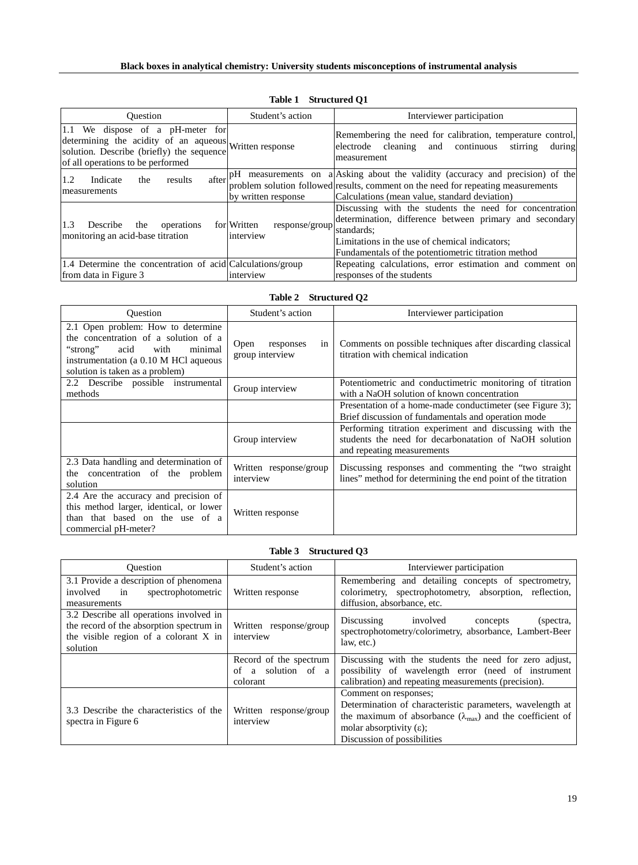| <b>Ouestion</b>                                                                                                                                                              | Student's action                           | Interviewer participation                                                                                                                                                                                                                 |  |  |  |
|------------------------------------------------------------------------------------------------------------------------------------------------------------------------------|--------------------------------------------|-------------------------------------------------------------------------------------------------------------------------------------------------------------------------------------------------------------------------------------------|--|--|--|
| 1.1 We dispose of a pH-meter for<br>determining the acidity of an aqueous Written response<br>solution. Describe (briefly) the sequence<br>of all operations to be performed |                                            | Remembering the need for calibration, temperature control,<br>electrode cleaning and continuous<br>stirring<br>during<br>measurement                                                                                                      |  |  |  |
| after<br>1.2<br>Indicate<br>results<br>the<br>measurements                                                                                                                   | by written response                        | $pH$ measurements on a Asking about the validity (accuracy and precision) of the<br>problem solution followed results, comment on the need for repeating measurements<br>Calculations (mean value, standard deviation)                    |  |  |  |
| 1.3<br>operations<br>the<br>Describe<br>monitoring an acid-base titration                                                                                                    | for Written<br>response/group<br>interview | Discussing with the students the need for concentration<br>determination, difference between primary and secondary<br>standards:<br>Limitations in the use of chemical indicators;<br>Fundamentals of the potentiometric titration method |  |  |  |
| 1.4 Determine the concentration of acid Calculations/group<br>from data in Figure 3                                                                                          | interview                                  | Repeating calculations, error estimation and comment on<br>responses of the students                                                                                                                                                      |  |  |  |

# **Table 1 Structured Q1**

| <b>Structured Q2</b><br>Table 2 |  |  |
|---------------------------------|--|--|
|---------------------------------|--|--|

| <b>Ouestion</b>                                                                                                                                                                               | Student's action                           | Interviewer participation                                                                                                                       |  |  |
|-----------------------------------------------------------------------------------------------------------------------------------------------------------------------------------------------|--------------------------------------------|-------------------------------------------------------------------------------------------------------------------------------------------------|--|--|
| 2.1 Open problem: How to determine<br>the concentration of a solution of a<br>acid<br>with<br>minimal<br>"strong"<br>instrumentation (a 0.10 M HCl aqueous<br>solution is taken as a problem) | Open<br>responses<br>in<br>group interview | Comments on possible techniques after discarding classical<br>titration with chemical indication                                                |  |  |
| 2.2 Describe possible instrumental<br>Group interview<br>methods                                                                                                                              |                                            | Potentiometric and conductimetric monitoring of titration<br>with a NaOH solution of known concentration                                        |  |  |
|                                                                                                                                                                                               |                                            | Presentation of a home-made conductimeter (see Figure 3);<br>Brief discussion of fundamentals and operation mode                                |  |  |
|                                                                                                                                                                                               | Group interview                            | Performing titration experiment and discussing with the<br>students the need for decarbonatation of NaOH solution<br>and repeating measurements |  |  |
| 2.3 Data handling and determination of<br>the concentration of the problem<br>solution                                                                                                        | Written response/group<br>interview        | Discussing responses and commenting the "two straight"<br>lines" method for determining the end point of the titration                          |  |  |
| 2.4 Are the accuracy and precision of<br>this method larger, identical, or lower<br>than that based on the use of a<br>commercial pH-meter?                                                   | Written response                           |                                                                                                                                                 |  |  |

# **Table 3 Structured Q3**

| <b>Ouestion</b>                                                                                                                                                                 | Student's action                                         | Interviewer participation                                                                                                                                                                                                             |  |  |
|---------------------------------------------------------------------------------------------------------------------------------------------------------------------------------|----------------------------------------------------------|---------------------------------------------------------------------------------------------------------------------------------------------------------------------------------------------------------------------------------------|--|--|
| 3.1 Provide a description of phenomena<br>involved<br>in<br>spectrophotometric<br>measurements                                                                                  | Written response                                         | Remembering and detailing concepts of spectrometry,<br>colorimetry, spectrophotometry, absorption, reflection,<br>diffusion, absorbance, etc.                                                                                         |  |  |
| 3.2 Describe all operations involved in<br>the record of the absorption spectrum in<br>Written response/group<br>the visible region of a colorant X in<br>interview<br>solution |                                                          | Discussing involved<br>(spectra,<br>concepts<br>spectrophotometry/colorimetry, absorbance, Lambert-Beer<br>law, etc.)                                                                                                                 |  |  |
|                                                                                                                                                                                 | Record of the spectrum<br>of a solution of a<br>colorant | Discussing with the students the need for zero adjust,<br>possibility of wavelength error (need of instrument<br>calibration) and repeating measurements (precision).                                                                 |  |  |
| 3.3 Describe the characteristics of the<br>spectra in Figure 6                                                                                                                  | Written response/group<br>interview                      | Comment on responses;<br>Determination of characteristic parameters, wavelength at<br>the maximum of absorbance ( $\lambda_{\text{max}}$ ) and the coefficient of<br>molar absorptivity $(\epsilon)$ ;<br>Discussion of possibilities |  |  |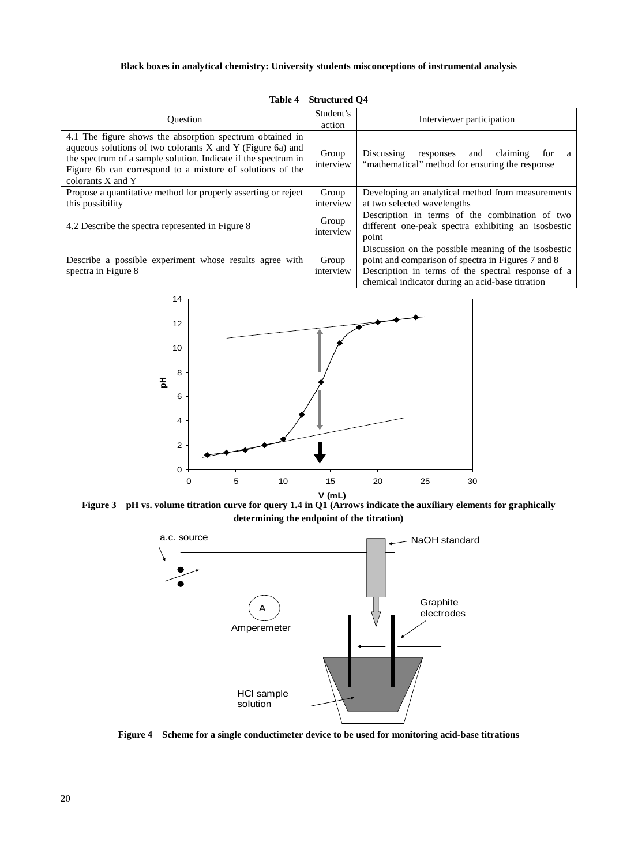| <b>Ouestion</b>                                                                                                                                                                                                                                                            | Student's<br>action | Interviewer participation                                                                                                                                                                                            |
|----------------------------------------------------------------------------------------------------------------------------------------------------------------------------------------------------------------------------------------------------------------------------|---------------------|----------------------------------------------------------------------------------------------------------------------------------------------------------------------------------------------------------------------|
| 4.1 The figure shows the absorption spectrum obtained in<br>aqueous solutions of two colorants X and Y (Figure 6a) and<br>the spectrum of a sample solution. Indicate if the spectrum in<br>Figure 6b can correspond to a mixture of solutions of the<br>colorants X and Y | Group<br>interview  | Discussing responses and claiming<br>tor<br>a<br>"mathematical" method for ensuring the response                                                                                                                     |
| Propose a quantitative method for properly asserting or reject<br>this possibility                                                                                                                                                                                         | Group<br>interview  | Developing an analytical method from measurements<br>at two selected wavelengths                                                                                                                                     |
| 4.2 Describe the spectra represented in Figure 8                                                                                                                                                                                                                           | Group<br>interview  | Description in terms of the combination of two<br>different one-peak spectra exhibiting an isosbestic<br>point                                                                                                       |
| Describe a possible experiment whose results agree with<br>spectra in Figure 8                                                                                                                                                                                             | Group<br>interview  | Discussion on the possible meaning of the isosbestic<br>point and comparison of spectra in Figures 7 and 8<br>Description in terms of the spectral response of a<br>chemical indicator during an acid-base titration |

**Table 4 Structured Q4**



**Figure 3 pH vs. volume titration curve for query 1.4 in Q1 (Arrows indicate the auxiliary elements for graphically determining the endpoint of the titration)**



**Figure 4 Scheme for a single conductimeter device to be used for monitoring acid-base titrations**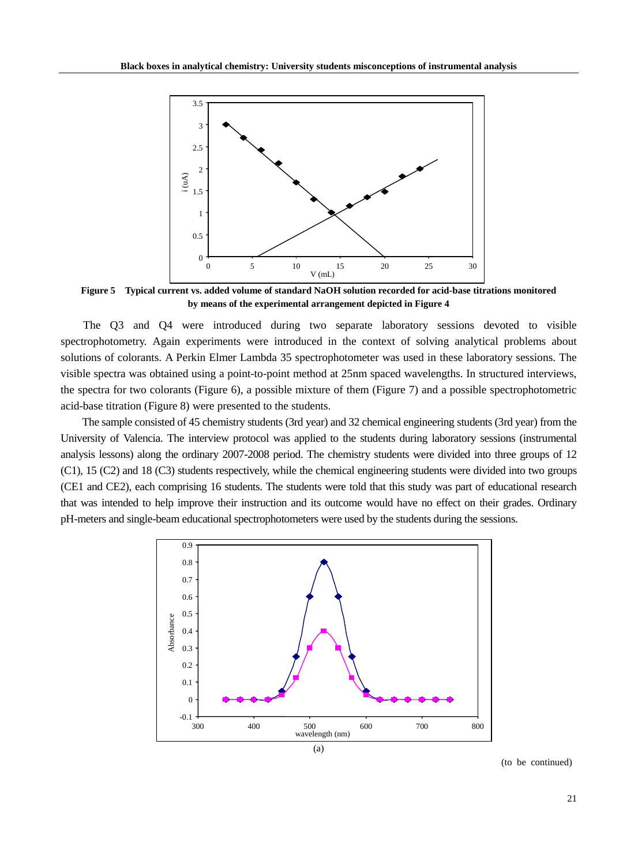

**Figure 5 Typical current vs. added volume of standard NaOH solution recorded for acid-base titrations monitored by means of the experimental arrangement depicted in Figure 4**

The Q3 and Q4 were introduced during two separate laboratory sessions devoted to visible spectrophotometry. Again experiments were introduced in the context of solving analytical problems about solutions of colorants. A Perkin Elmer Lambda 35 spectrophotometer was used in these laboratory sessions. The visible spectra was obtained using a point-to-point method at 25nm spaced wavelengths. In structured interviews, the spectra for two colorants (Figure 6), a possible mixture of them (Figure 7) and a possible spectrophotometric acid-base titration (Figure 8) were presented to the students.

The sample consisted of 45 chemistry students (3rd year) and 32 chemical engineering students (3rd year) from the University of Valencia. The interview protocol was applied to the students during laboratory sessions (instrumental analysis lessons) along the ordinary 2007-2008 period. The chemistry students were divided into three groups of 12 (C1), 15 (C2) and 18 (C3) students respectively, while the chemical engineering students were divided into two groups (CE1 and CE2), each comprising 16 students. The students were told that this study was part of educational research that was intended to help improve their instruction and its outcome would have no effect on their grades. Ordinary pH-meters and single-beam educational spectrophotometers were used by the students during the sessions.



(to be continued)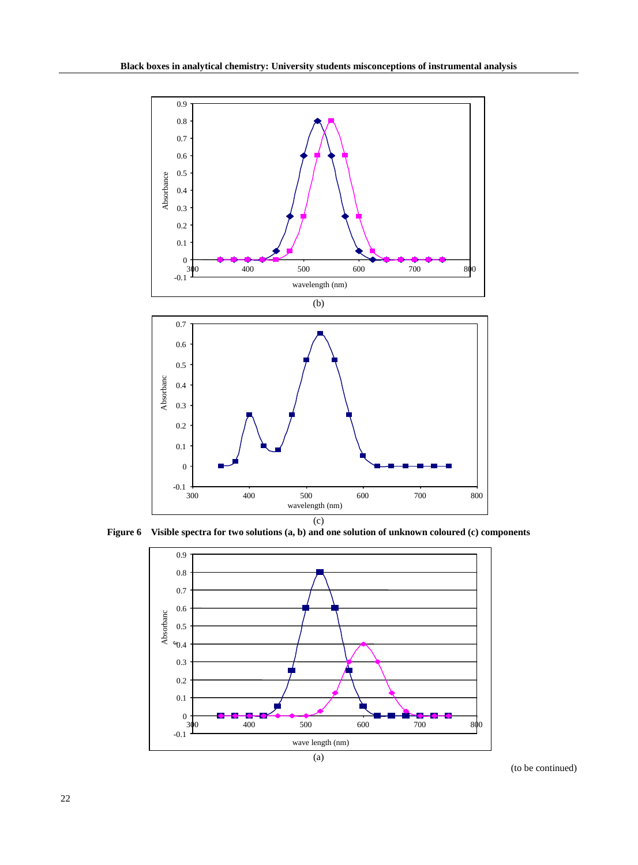

**Figure 6 Visible spectra for two solutions (a, b) and one solution of unknown coloured (c) components**



(to be continued)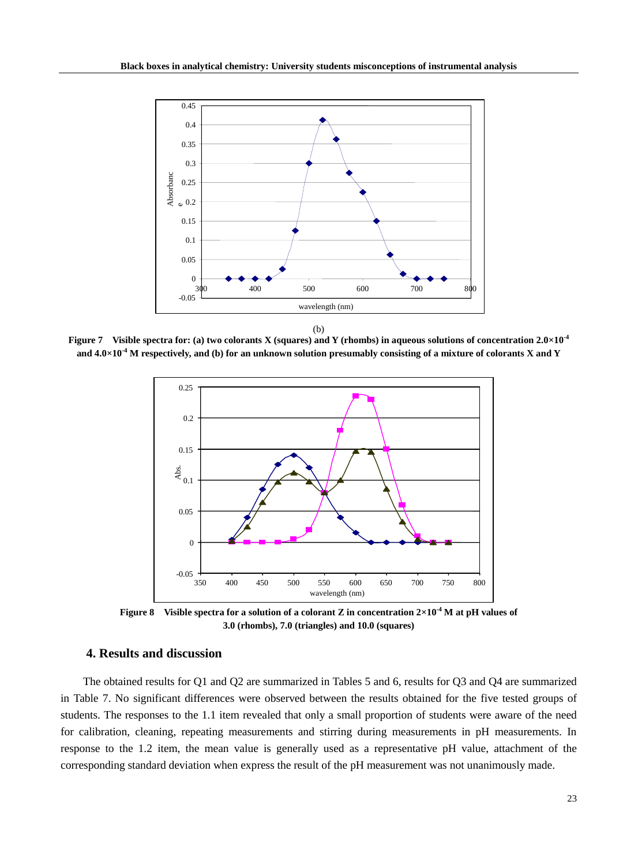

**Figure 7 Visible spectra for: (a) two colorants X (squares) and Y (rhombs) in aqueous solutions of concentration 2.0×10-4 and 4.0×10-4 M respectively, and (b) for an unknown solution presumably consisting of a mixture of colorants X and Y**



**Figure 8 Visible spectra for a solution of a colorant Z in concentration 2×10-4 M at pH values of 3.0 (rhombs), 7.0 (triangles) and 10.0 (squares)**

# **4. Results and discussion**

The obtained results for Q1 and Q2 are summarized in Tables 5 and 6, results for Q3 and Q4 are summarized in Table 7. No significant differences were observed between the results obtained for the five tested groups of students. The responses to the 1.1 item revealed that only a small proportion of students were aware of the need for calibration, cleaning, repeating measurements and stirring during measurements in pH measurements. In response to the 1.2 item, the mean value is generally used as a representative pH value, attachment of the corresponding standard deviation when express the result of the pH measurement was not unanimously made.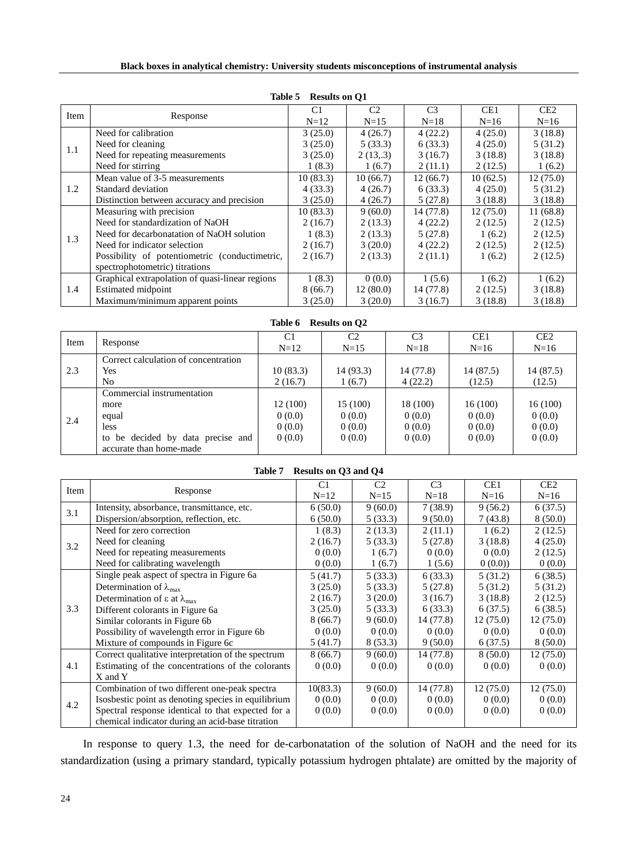|      | Table 5<br><b>INCOULLY</b> OIL OF               |                |                |                |                 |                 |  |  |
|------|-------------------------------------------------|----------------|----------------|----------------|-----------------|-----------------|--|--|
| Item |                                                 | C <sub>1</sub> | C <sub>2</sub> | C <sub>3</sub> | CE <sub>1</sub> | CE <sub>2</sub> |  |  |
|      | Response                                        | $N=12$         | $N=15$         | $N=18$         | $N=16$          | $N=16$          |  |  |
|      | Need for calibration                            | 3(25.0)        | 4(26.7)        | 4(22.2)        | 4(25.0)         | 3(18.8)         |  |  |
| 1.1  | Need for cleaning                               | 3(25.0)        | 5(33.3)        | 6(33.3)        | 4(25.0)         | 5(31.2)         |  |  |
|      | Need for repeating measurements                 | 3(25.0)        | 2(13,3)        | 3(16.7)        | 3(18.8)         | 3(18.8)         |  |  |
|      | Need for stirring                               | 1(8.3)         | 1(6.7)         | 2(11.1)        | 2(12.5)         | 1(6.2)          |  |  |
|      | Mean value of 3-5 measurements                  | 10(83.3)       | 10(66.7)       | 12(66.7)       | 10(62.5)        | 12(75.0)        |  |  |
| 1.2  | Standard deviation                              | 4(33.3)        | 4(26.7)        | 6(33.3)        | 4(25.0)         | 5(31.2)         |  |  |
|      | Distinction between accuracy and precision      | 3(25.0)        | 4(26.7)        | 5(27.8)        | 3(18.8)         | 3(18.8)         |  |  |
|      | Measuring with precision                        | 10(83.3)       | 9(60.0)        | 14 (77.8)      | 12(75.0)        | 11(68.8)        |  |  |
|      | Need for standardization of NaOH                | 2(16.7)        | 2(13.3)        | 4(22.2)        | 2(12.5)         | 2(12.5)         |  |  |
| 1.3  | Need for decarbonatation of NaOH solution       | 1(8.3)         | 2(13.3)        | 5(27.8)        | 1(6.2)          | 2(12.5)         |  |  |
|      | Need for indicator selection                    | 2(16.7)        | 3(20.0)        | 4(22.2)        | 2(12.5)         | 2(12.5)         |  |  |
|      | Possibility of potentiometric (conductimetric,  | 2(16.7)        | 2(13.3)        | 2(11.1)        | 1(6.2)          | 2(12.5)         |  |  |
|      | spectrophotometric) titrations                  |                |                |                |                 |                 |  |  |
|      | Graphical extrapolation of quasi-linear regions | 1(8.3)         | 0(0.0)         | 1(5.6)         | 1(6.2)          | 1(6.2)          |  |  |
| 1.4  | Estimated midpoint                              | 8(66.7)        | 12(80.0)       | 14 (77.8)      | 2(12.5)         | 3(18.8)         |  |  |
|      | Maximum/minimum apparent points                 | 3(25.0)        | 3(20.0)        | 3(16.7)        | 3(18.8)         | 3(18.8)         |  |  |

#### **Table 5 Results on Q1**

| Table 6<br><b>Results on O2</b> |                                      |                |                |                |           |           |  |  |
|---------------------------------|--------------------------------------|----------------|----------------|----------------|-----------|-----------|--|--|
| Item                            | Response                             | C <sub>1</sub> | C <sub>2</sub> | C <sub>3</sub> | CE1       | CE2       |  |  |
|                                 |                                      | $N=12$         | $N=15$         | $N=18$         | $N=16$    | $N=16$    |  |  |
|                                 | Correct calculation of concentration |                |                |                |           |           |  |  |
| 2.3                             | Yes                                  | 10(83.3)       | 14(93.3)       | 14 (77.8)      | 14 (87.5) | 14 (87.5) |  |  |
|                                 | No                                   | 2(16.7)        | 1(6.7)         | 4(22.2)        | (12.5)    | (12.5)    |  |  |
| 2.4                             | Commercial instrumentation           |                |                |                |           |           |  |  |
|                                 | more                                 | 12 (100)       | 15 (100)       | 18 (100)       | 16 (100)  | 16(100)   |  |  |
|                                 | equal                                | 0(0.0)         | 0(0.0)         | 0(0.0)         | 0(0.0)    | 0(0.0)    |  |  |
|                                 | less                                 | 0(0.0)         | 0(0.0)         | 0(0.0)         | 0(0.0)    | 0(0.0)    |  |  |
|                                 | be decided by data precise and<br>to | 0(0.0)         | 0(0.0)         | 0(0.0)         | 0(0.0)    | 0(0.0)    |  |  |
|                                 | accurate than home-made              |                |                |                |           |           |  |  |

#### **Table 7 Results on Q3 and Q4**

| Item |                                                          | C <sub>1</sub> | C <sub>2</sub> | C <sub>3</sub> | CE1      | CE2      |
|------|----------------------------------------------------------|----------------|----------------|----------------|----------|----------|
|      | Response                                                 | $N=12$         | $N=15$         | $N=18$         | $N=16$   | $N=16$   |
| 3.1  | Intensity, absorbance, transmittance, etc.               | 6(50.0)        | 9(60.0)        | 7(38.9)        | 9(56.2)  | 6(37.5)  |
|      | Dispersion/absorption, reflection, etc.                  | 6(50.0)        | 5(33.3)        | 9(50.0)        | 7(43.8)  | 8(50.0)  |
|      | Need for zero correction                                 | 1(8.3)         | 2(13.3)        | 2(11.1)        | 1(6.2)   | 2(12.5)  |
| 3.2  | Need for cleaning                                        | 2(16.7)        | 5(33.3)        | 5(27.8)        | 3(18.8)  | 4(25.0)  |
|      | Need for repeating measurements                          | 0(0.0)         | 1(6.7)         | 0(0.0)         | 0(0.0)   | 2(12.5)  |
|      | Need for calibrating wavelength                          | 0(0.0)         | 1(6.7)         | 1(5.6)         | 0(0.0)   | 0(0.0)   |
|      | Single peak aspect of spectra in Figure 6a               | 5(41.7)        | 5(33.3)        | 6(33.3)        | 5(31.2)  | 6(38.5)  |
|      | Determination of $\lambda_{\text{max}}$                  | 3(25.0)        | 5(33.3)        | 5(27.8)        | 5(31.2)  | 5(31.2)  |
|      | Determination of $\varepsilon$ at $\lambda_{\text{max}}$ | 2(16.7)        | 3(20.0)        | 3(16.7)        | 3(18.8)  | 2(12.5)  |
| 3.3  | Different colorants in Figure 6a                         | 3(25.0)        | 5(33.3)        | 6(33.3)        | 6(37.5)  | 6(38.5)  |
|      | Similar colorants in Figure 6b                           | 8(66.7)        | 9(60.0)        | 14 (77.8)      | 12(75.0) | 12(75.0) |
|      | Possibility of wavelength error in Figure 6b             | 0(0.0)         | 0(0.0)         | 0(0.0)         | 0(0.0)   | 0(0.0)   |
|      | Mixture of compounds in Figure 6c                        | 5(41.7)        | 8(53.3)        | 9(50.0)        | 6(37.5)  | 8(50.0)  |
|      | Correct qualitative interpretation of the spectrum       | 8(66.7)        | 9(60.0)        | 14 (77.8)      | 8(50.0)  | 12(75.0) |
| 4.1  | Estimating of the concentrations of the colorants        | 0(0.0)         | 0(0.0)         | 0(0.0)         | 0(0.0)   | 0(0.0)   |
|      | X and Y                                                  |                |                |                |          |          |
|      | Combination of two different one-peak spectra            | 10(83.3)       | 9(60.0)        | 14 (77.8)      | 12(75.0) | 12(75.0) |
| 4.2  | Isosbestic point as denoting species in equilibrium      | 0(0.0)         | 0(0.0)         | 0(0.0)         | 0(0.0)   | 0(0.0)   |
|      | Spectral response identical to that expected for a       | 0(0.0)         | 0(0.0)         | 0(0.0)         | 0(0.0)   | 0(0.0)   |
|      | chemical indicator during an acid-base titration         |                |                |                |          |          |

In response to query 1.3, the need for de-carbonatation of the solution of NaOH and the need for its standardization (using a primary standard, typically potassium hydrogen phtalate) are omitted by the majority of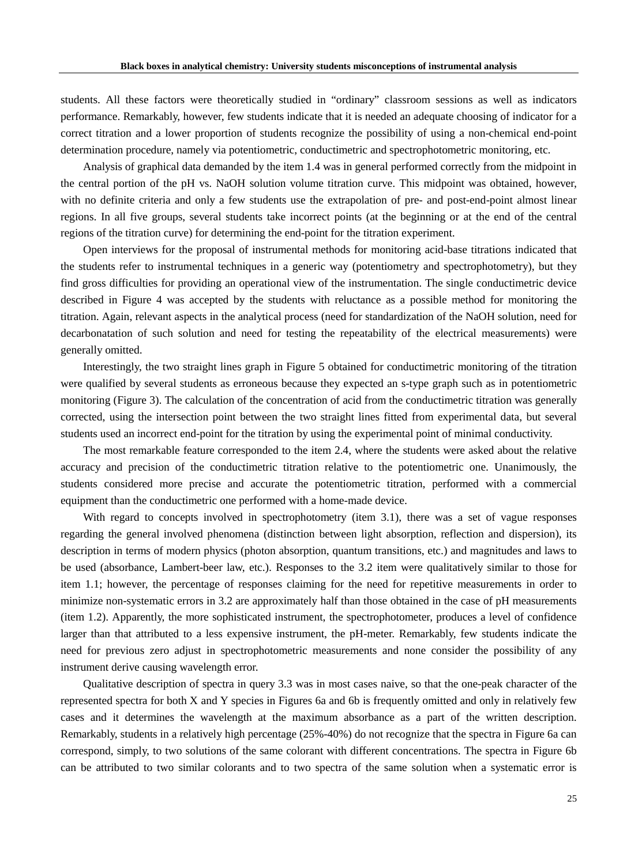students. All these factors were theoretically studied in "ordinary" classroom sessions as well as indicators performance. Remarkably, however, few students indicate that it is needed an adequate choosing of indicator for a correct titration and a lower proportion of students recognize the possibility of using a non-chemical end-point determination procedure, namely via potentiometric, conductimetric and spectrophotometric monitoring, etc.

Analysis of graphical data demanded by the item 1.4 was in general performed correctly from the midpoint in the central portion of the pH vs. NaOH solution volume titration curve. This midpoint was obtained, however, with no definite criteria and only a few students use the extrapolation of pre- and post-end-point almost linear regions. In all five groups, several students take incorrect points (at the beginning or at the end of the central regions of the titration curve) for determining the end-point for the titration experiment.

Open interviews for the proposal of instrumental methods for monitoring acid-base titrations indicated that the students refer to instrumental techniques in a generic way (potentiometry and spectrophotometry), but they find gross difficulties for providing an operational view of the instrumentation. The single conductimetric device described in Figure 4 was accepted by the students with reluctance as a possible method for monitoring the titration. Again, relevant aspects in the analytical process (need for standardization of the NaOH solution, need for decarbonatation of such solution and need for testing the repeatability of the electrical measurements) were generally omitted.

Interestingly, the two straight lines graph in Figure 5 obtained for conductimetric monitoring of the titration were qualified by several students as erroneous because they expected an s-type graph such as in potentiometric monitoring (Figure 3). The calculation of the concentration of acid from the conductimetric titration was generally corrected, using the intersection point between the two straight lines fitted from experimental data, but several students used an incorrect end-point for the titration by using the experimental point of minimal conductivity.

The most remarkable feature corresponded to the item 2.4, where the students were asked about the relative accuracy and precision of the conductimetric titration relative to the potentiometric one. Unanimously, the students considered more precise and accurate the potentiometric titration, performed with a commercial equipment than the conductimetric one performed with a home-made device.

With regard to concepts involved in spectrophotometry (item 3.1), there was a set of vague responses regarding the general involved phenomena (distinction between light absorption, reflection and dispersion), its description in terms of modern physics (photon absorption, quantum transitions, etc.) and magnitudes and laws to be used (absorbance, Lambert-beer law, etc.). Responses to the 3.2 item were qualitatively similar to those for item 1.1; however, the percentage of responses claiming for the need for repetitive measurements in order to minimize non-systematic errors in 3.2 are approximately half than those obtained in the case of pH measurements (item 1.2). Apparently, the more sophisticated instrument, the spectrophotometer, produces a level of confidence larger than that attributed to a less expensive instrument, the pH-meter. Remarkably, few students indicate the need for previous zero adjust in spectrophotometric measurements and none consider the possibility of any instrument derive causing wavelength error.

Qualitative description of spectra in query 3.3 was in most cases naive, so that the one-peak character of the represented spectra for both X and Y species in Figures 6a and 6b is frequently omitted and only in relatively few cases and it determines the wavelength at the maximum absorbance as a part of the written description. Remarkably, students in a relatively high percentage (25%-40%) do not recognize that the spectra in Figure 6a can correspond, simply, to two solutions of the same colorant with different concentrations. The spectra in Figure 6b can be attributed to two similar colorants and to two spectra of the same solution when a systematic error is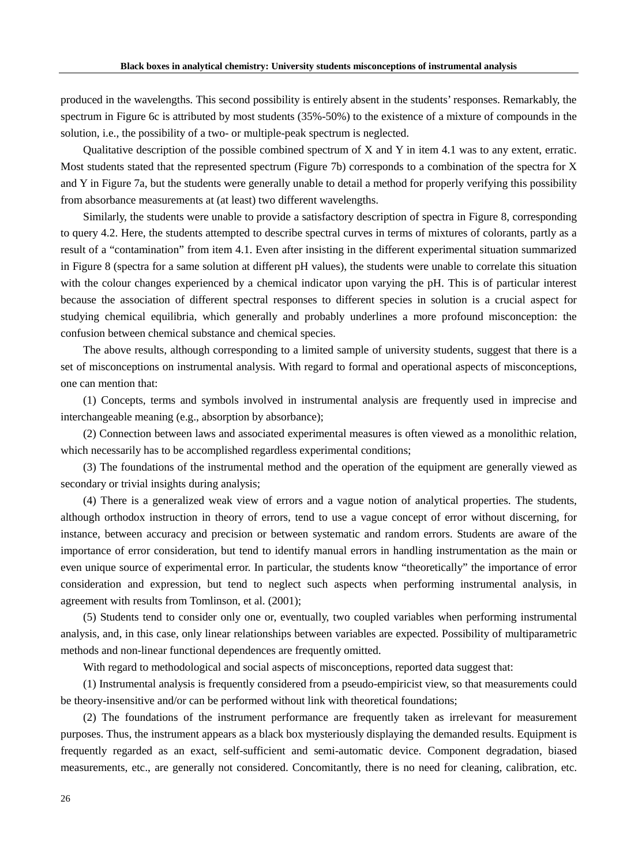produced in the wavelengths. This second possibility is entirely absent in the students' responses. Remarkably, the spectrum in Figure 6c is attributed by most students (35%-50%) to the existence of a mixture of compounds in the solution, i.e., the possibility of a two- or multiple-peak spectrum is neglected.

Qualitative description of the possible combined spectrum of X and Y in item 4.1 was to any extent, erratic. Most students stated that the represented spectrum (Figure 7b) corresponds to a combination of the spectra for X and Y in Figure 7a, but the students were generally unable to detail a method for properly verifying this possibility from absorbance measurements at (at least) two different wavelengths.

Similarly, the students were unable to provide a satisfactory description of spectra in Figure 8, corresponding to query 4.2. Here, the students attempted to describe spectral curves in terms of mixtures of colorants, partly as a result of a "contamination" from item 4.1. Even after insisting in the different experimental situation summarized in Figure 8 (spectra for a same solution at different pH values), the students were unable to correlate this situation with the colour changes experienced by a chemical indicator upon varying the pH. This is of particular interest because the association of different spectral responses to different species in solution is a crucial aspect for studying chemical equilibria, which generally and probably underlines a more profound misconception: the confusion between chemical substance and chemical species.

The above results, although corresponding to a limited sample of university students, suggest that there is a set of misconceptions on instrumental analysis. With regard to formal and operational aspects of misconceptions, one can mention that:

(1) Concepts, terms and symbols involved in instrumental analysis are frequently used in imprecise and interchangeable meaning (e.g., absorption by absorbance);

(2) Connection between laws and associated experimental measures is often viewed as a monolithic relation, which necessarily has to be accomplished regardless experimental conditions;

(3) The foundations of the instrumental method and the operation of the equipment are generally viewed as secondary or trivial insights during analysis;

(4) There is a generalized weak view of errors and a vague notion of analytical properties. The students, although orthodox instruction in theory of errors, tend to use a vague concept of error without discerning, for instance, between accuracy and precision or between systematic and random errors. Students are aware of the importance of error consideration, but tend to identify manual errors in handling instrumentation as the main or even unique source of experimental error. In particular, the students know "theoretically" the importance of error consideration and expression, but tend to neglect such aspects when performing instrumental analysis, in agreement with results from Tomlinson, et al. (2001);

(5) Students tend to consider only one or, eventually, two coupled variables when performing instrumental analysis, and, in this case, only linear relationships between variables are expected. Possibility of multiparametric methods and non-linear functional dependences are frequently omitted.

With regard to methodological and social aspects of misconceptions, reported data suggest that:

(1) Instrumental analysis is frequently considered from a pseudo-empiricist view, so that measurements could be theory-insensitive and/or can be performed without link with theoretical foundations;

(2) The foundations of the instrument performance are frequently taken as irrelevant for measurement purposes. Thus, the instrument appears as a black box mysteriously displaying the demanded results. Equipment is frequently regarded as an exact, self-sufficient and semi-automatic device. Component degradation, biased measurements, etc., are generally not considered. Concomitantly, there is no need for cleaning, calibration, etc.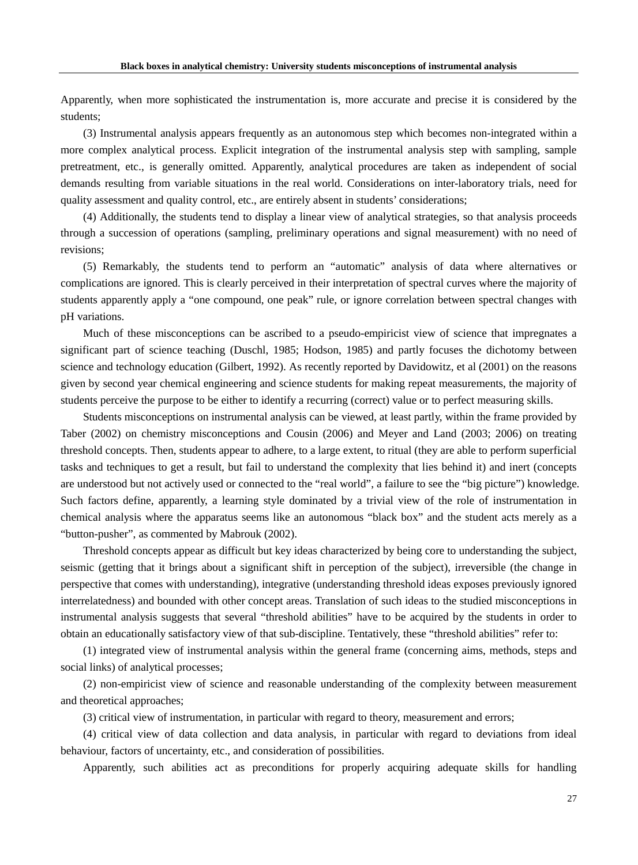Apparently, when more sophisticated the instrumentation is, more accurate and precise it is considered by the students;

(3) Instrumental analysis appears frequently as an autonomous step which becomes non-integrated within a more complex analytical process. Explicit integration of the instrumental analysis step with sampling, sample pretreatment, etc., is generally omitted. Apparently, analytical procedures are taken as independent of social demands resulting from variable situations in the real world. Considerations on inter-laboratory trials, need for quality assessment and quality control, etc., are entirely absent in students' considerations;

(4) Additionally, the students tend to display a linear view of analytical strategies, so that analysis proceeds through a succession of operations (sampling, preliminary operations and signal measurement) with no need of revisions;

(5) Remarkably, the students tend to perform an "automatic" analysis of data where alternatives or complications are ignored. This is clearly perceived in their interpretation of spectral curves where the majority of students apparently apply a "one compound, one peak" rule, or ignore correlation between spectral changes with pH variations.

Much of these misconceptions can be ascribed to a pseudo-empiricist view of science that impregnates a significant part of science teaching (Duschl, 1985; Hodson, 1985) and partly focuses the dichotomy between science and technology education (Gilbert, 1992). As recently reported by Davidowitz, et al (2001) on the reasons given by second year chemical engineering and science students for making repeat measurements, the majority of students perceive the purpose to be either to identify a recurring (correct) value or to perfect measuring skills.

Students misconceptions on instrumental analysis can be viewed, at least partly, within the frame provided by Taber (2002) on chemistry misconceptions and Cousin (2006) and Meyer and Land (2003; 2006) on treating threshold concepts. Then, students appear to adhere, to a large extent, to ritual (they are able to perform superficial tasks and techniques to get a result, but fail to understand the complexity that lies behind it) and inert (concepts are understood but not actively used or connected to the "real world", a failure to see the "big picture") knowledge. Such factors define, apparently, a learning style dominated by a trivial view of the role of instrumentation in chemical analysis where the apparatus seems like an autonomous "black box" and the student acts merely as a "button-pusher", as commented by Mabrouk (2002).

Threshold concepts appear as difficult but key ideas characterized by being core to understanding the subject, seismic (getting that it brings about a significant shift in perception of the subject), irreversible (the change in perspective that comes with understanding), integrative (understanding threshold ideas exposes previously ignored interrelatedness) and bounded with other concept areas. Translation of such ideas to the studied misconceptions in instrumental analysis suggests that several "threshold abilities" have to be acquired by the students in order to obtain an educationally satisfactory view of that sub-discipline. Tentatively, these "threshold abilities" refer to:

(1) integrated view of instrumental analysis within the general frame (concerning aims, methods, steps and social links) of analytical processes;

(2) non-empiricist view of science and reasonable understanding of the complexity between measurement and theoretical approaches;

(3) critical view of instrumentation, in particular with regard to theory, measurement and errors;

(4) critical view of data collection and data analysis, in particular with regard to deviations from ideal behaviour, factors of uncertainty, etc., and consideration of possibilities.

Apparently, such abilities act as preconditions for properly acquiring adequate skills for handling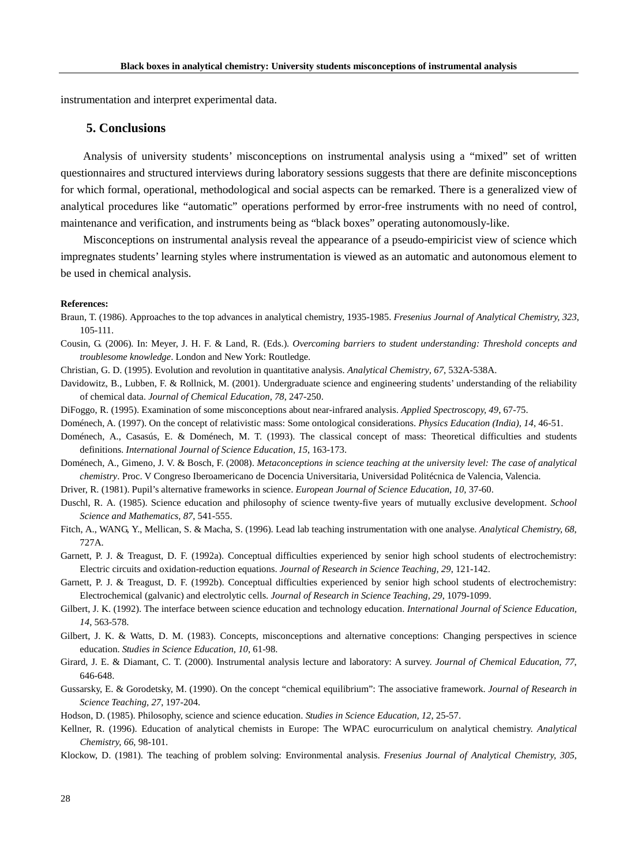instrumentation and interpret experimental data.

# **5. Conclusions**

Analysis of university students' misconceptions on instrumental analysis using a "mixed" set of written questionnaires and structured interviews during laboratory sessions suggests that there are definite misconceptions for which formal, operational, methodological and social aspects can be remarked. There is a generalized view of analytical procedures like "automatic" operations performed by error-free instruments with no need of control, maintenance and verification, and instruments being as "black boxes" operating autonomously-like.

Misconceptions on instrumental analysis reveal the appearance of a pseudo-empiricist view of science which impregnates students' learning styles where instrumentation is viewed as an automatic and autonomous element to be used in chemical analysis.

#### **References:**

- Braun, T. (1986). Approaches to the top advances in analytical chemistry, 1935-1985. *Fresenius Journal of Analytical Chemistry, 323*, 105-111.
- Cousin, G. (2006). In: Meyer, J. H. F. & Land, R. (Eds.). *Overcoming barriers to student understanding: Threshold concepts and troublesome knowledge*. London and New York: Routledge.
- Christian, G. D. (1995). Evolution and revolution in quantitative analysis. *Analytical Chemistry, 67*, 532A-538A.
- Davidowitz, B., Lubben, F. & Rollnick, M. (2001). Undergraduate science and engineering students' understanding of the reliability of chemical data. *Journal of Chemical Education, 78*, 247-250.
- DiFoggo, R. (1995). Examination of some misconceptions about near-infrared analysis. *Applied Spectroscopy, 49*, 67-75.
- Doménech, A. (1997). On the concept of relativistic mass: Some ontological considerations. *Physics Education (India), 14*, 46-51.
- Doménech, A., Casasús, E. & Doménech, M. T. (1993). The classical concept of mass: Theoretical difficulties and students definitions. *International Journal of Science Education, 15*, 163-173.
- Doménech, A., Gimeno, J. V. & Bosch, F. (2008). *Metaconceptions in science teaching at the university level: The case of analytical chemistry*. Proc. V Congreso Iberoamericano de Docencia Universitaria, Universidad Politécnica de Valencia, Valencia.
- Driver, R. (1981). Pupil's alternative frameworks in science. *European Journal of Science Education, 10*, 37-60.
- Duschl, R. A. (1985). Science education and philosophy of science twenty-five years of mutually exclusive development. *School Science and Mathematics, 87*, 541-555.
- Fitch, A., WANG, Y., Mellican, S. & Macha, S. (1996). Lead lab teaching instrumentation with one analyse. *Analytical Chemistry, 68*, 727A.
- Garnett, P. J. & Treagust, D. F. (1992a). Conceptual difficulties experienced by senior high school students of electrochemistry: Electric circuits and oxidation-reduction equations. *Journal of Research in Science Teaching, 29*, 121-142.
- Garnett, P. J. & Treagust, D. F. (1992b). Conceptual difficulties experienced by senior high school students of electrochemistry: Electrochemical (galvanic) and electrolytic cells. *Journal of Research in Science Teaching, 29*, 1079-1099.
- Gilbert, J. K. (1992). The interface between science education and technology education. *International Journal of Science Education, 14*, 563-578.
- Gilbert, J. K. & Watts, D. M. (1983). Concepts, misconceptions and alternative conceptions: Changing perspectives in science education. *Studies in Science Education, 10*, 61-98.
- Girard, J. E. & Diamant, C. T. (2000). Instrumental analysis lecture and laboratory: A survey. *Journal of Chemical Education, 77*, 646-648.
- Gussarsky, E. & Gorodetsky, M. (1990). On the concept "chemical equilibrium": The associative framework. *Journal of Research in Science Teaching, 27*, 197-204.
- Hodson, D. (1985). Philosophy, science and science education. *Studies in Science Education, 12*, 25-57.
- Kellner, R. (1996). Education of analytical chemists in Europe: The WPAC eurocurriculum on analytical chemistry. *Analytical Chemistry, 66*, 98-101.
- Klockow, D. (1981). The teaching of problem solving: Environmental analysis. *Fresenius Journal of Analytical Chemistry, 305*,